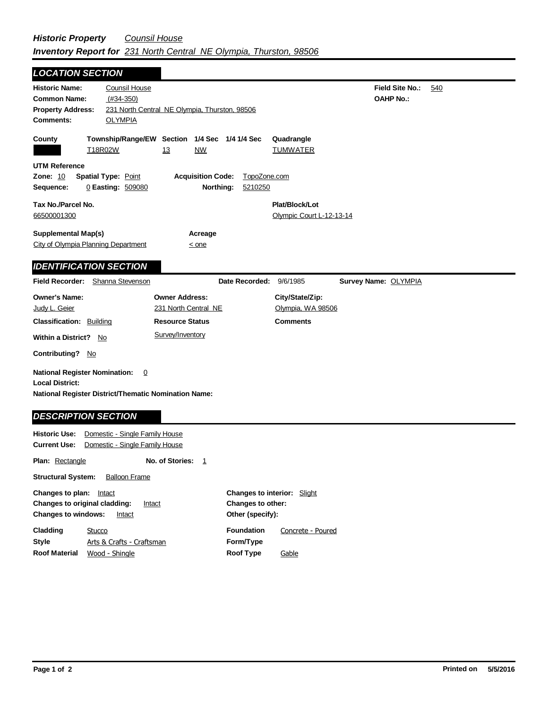| <b>LOCATION SECTION</b>                                                                                                                        |                                                                  |                                            |     |
|------------------------------------------------------------------------------------------------------------------------------------------------|------------------------------------------------------------------|--------------------------------------------|-----|
| <b>Historic Name:</b><br>Counsil House<br><b>Common Name:</b><br>$(#34-350)$<br><b>Property Address:</b><br><b>Comments:</b><br><b>OLYMPIA</b> | 231 North Central NE Olympia, Thurston, 98506                    | <b>Field Site No.:</b><br><b>OAHP No.:</b> | 540 |
| County<br>T18R02W                                                                                                                              | Township/Range/EW Section 1/4 Sec 1/4 1/4 Sec<br>13<br>NW        | Quadrangle<br><b>TUMWATER</b>              |     |
| <b>UTM Reference</b><br><b>Zone: 10</b><br><b>Spatial Type: Point</b><br>0 Easting: 509080<br>Sequence:                                        | <b>Acquisition Code:</b><br>TopoZone.com<br>Northing:<br>5210250 |                                            |     |
| Tax No./Parcel No.<br>66500001300                                                                                                              |                                                                  | Plat/Block/Lot<br>Olympic Court L-12-13-14 |     |
| <b>Supplemental Map(s)</b><br>City of Olympia Planning Department                                                                              | Acreage<br>$\leq$ one                                            |                                            |     |
| <b>IDENTIFICATION SECTION</b>                                                                                                                  |                                                                  |                                            |     |
| Field Recorder:<br>Shanna Stevenson                                                                                                            | Date Recorded:                                                   | 9/6/1985<br>Survey Name: OLYMPIA           |     |
| <b>Owner's Name:</b><br>Judy L. Geier                                                                                                          | <b>Owner Address:</b><br>231 North Central NE                    | City/State/Zip:<br>Olympia, WA 98506       |     |
| <b>Classification: Building</b><br>Within a District? No                                                                                       | <b>Resource Status</b><br>Survey/Inventory                       | <b>Comments</b>                            |     |
| Contributing? No                                                                                                                               |                                                                  |                                            |     |
| <b>National Register Nomination:</b><br>0<br><b>Local District:</b><br><b>National Register District/Thematic Nomination Name:</b>             |                                                                  |                                            |     |
| <b>DESCRIPTION SECTION</b>                                                                                                                     |                                                                  |                                            |     |
| <b>Historic Use:</b><br>Domestic - Single Family House<br><b>Current Use:</b><br>Domestic - Single Family House                                |                                                                  |                                            |     |
| <b>Plan:</b> Rectangle                                                                                                                         | No. of Stories:<br>1                                             |                                            |     |

**Structural System:** Balloon Frame

| Changes to plan:                               | Intact                    | <b>Changes to interior:</b> Slight |                   |
|------------------------------------------------|---------------------------|------------------------------------|-------------------|
| <b>Changes to original cladding:</b><br>Intact |                           | <b>Changes to other:</b>           |                   |
| <b>Changes to windows:</b>                     | Intact                    | Other (specify):                   |                   |
| Cladding                                       | Stucco                    | <b>Foundation</b>                  | Concrete - Poured |
| <b>Style</b>                                   | Arts & Crafts - Craftsman | Form/Type                          |                   |
| <b>Roof Material</b>                           | Wood - Shingle            | Roof Type                          | Gable             |
|                                                |                           |                                    |                   |